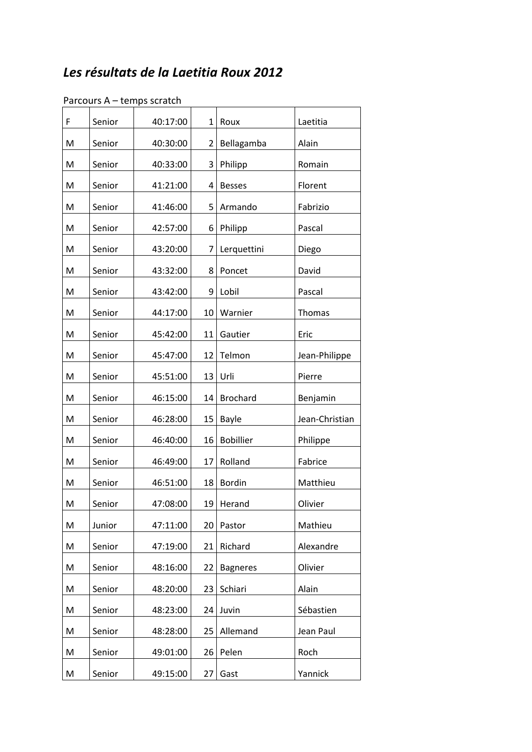## *Les résultats de la Laetitia Roux 2012*

| F | Senior | 40:17:00 | $\mathbf{1}$   | Roux             | Laetitia       |
|---|--------|----------|----------------|------------------|----------------|
| M | Senior | 40:30:00 | $\overline{2}$ | Bellagamba       | Alain          |
| M | Senior | 40:33:00 | 3              | Philipp          | Romain         |
| M | Senior | 41:21:00 | 4              | <b>Besses</b>    | Florent        |
| M | Senior | 41:46:00 | 5              | Armando          | Fabrizio       |
| M | Senior | 42:57:00 | 6              | Philipp          | Pascal         |
| M | Senior | 43:20:00 | $\overline{7}$ | Lerquettini      | Diego          |
| M | Senior | 43:32:00 | 8              | Poncet           | David          |
| M | Senior | 43:42:00 | 9              | Lobil            | Pascal         |
| M | Senior | 44:17:00 | 10             | Warnier          | Thomas         |
| M | Senior | 45:42:00 | 11             | Gautier          | Eric           |
| M | Senior | 45:47:00 | 12             | Telmon           | Jean-Philippe  |
| M | Senior | 45:51:00 | 13             | Urli             | Pierre         |
| M | Senior | 46:15:00 | 14             | <b>Brochard</b>  | Benjamin       |
| M | Senior | 46:28:00 | 15             | Bayle            | Jean-Christian |
| M | Senior | 46:40:00 | 16             | <b>Bobillier</b> | Philippe       |
| M | Senior | 46:49:00 | 17             | Rolland          | Fabrice        |
| M | Senior | 46:51:00 | 18             | <b>Bordin</b>    | Matthieu       |
| M | Senior | 47:08:00 |                | 19 Herand        | Olivier        |
| M | Junior | 47:11:00 | 20             | Pastor           | Mathieu        |
| M | Senior | 47:19:00 | 21             | Richard          | Alexandre      |
| M | Senior | 48:16:00 | 22             | <b>Bagneres</b>  | Olivier        |
| M | Senior | 48:20:00 | 23             | Schiari          | Alain          |
| M | Senior | 48:23:00 | 24             | Juvin            | Sébastien      |
| M | Senior | 48:28:00 | 25             | Allemand         | Jean Paul      |
| M | Senior | 49:01:00 | 26             | Pelen            | Roch           |
| M | Senior | 49:15:00 | 27             | Gast             | Yannick        |

## Parcours A – temps scratch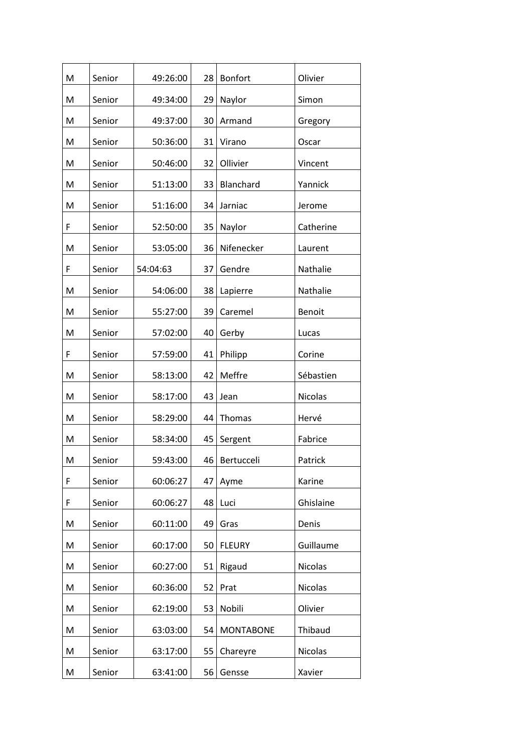| M | Senior | 49:26:00 | 28 | <b>Bonfort</b>   | Olivier        |
|---|--------|----------|----|------------------|----------------|
| M | Senior | 49:34:00 | 29 | Naylor           | Simon          |
| M | Senior | 49:37:00 | 30 | Armand           | Gregory        |
| M | Senior | 50:36:00 | 31 | Virano           | Oscar          |
| M | Senior | 50:46:00 | 32 | Ollivier         | Vincent        |
| M | Senior | 51:13:00 | 33 | Blanchard        | Yannick        |
| M | Senior | 51:16:00 | 34 | Jarniac          | Jerome         |
| F | Senior | 52:50:00 | 35 | Naylor           | Catherine      |
| M | Senior | 53:05:00 | 36 | Nifenecker       | Laurent        |
| F | Senior | 54:04:63 | 37 | Gendre           | Nathalie       |
| M | Senior | 54:06:00 | 38 | Lapierre         | Nathalie       |
| M | Senior | 55:27:00 | 39 | Caremel          | Benoit         |
| M | Senior | 57:02:00 | 40 | Gerby            | Lucas          |
| F | Senior | 57:59:00 | 41 | Philipp          | Corine         |
| M | Senior | 58:13:00 | 42 | Meffre           | Sébastien      |
| M | Senior | 58:17:00 | 43 | Jean             | Nicolas        |
| M | Senior | 58:29:00 | 44 | Thomas           | Hervé          |
| M | Senior | 58:34:00 | 45 | Sergent          | Fabrice        |
| M | Senior | 59:43:00 | 46 | Bertucceli       | Patrick        |
| F | Senior | 60:06:27 | 47 | Ayme             | Karine         |
| F | Senior | 60:06:27 | 48 | Luci             | Ghislaine      |
| M | Senior | 60:11:00 | 49 | Gras             | Denis          |
| M | Senior | 60:17:00 | 50 | <b>FLEURY</b>    | Guillaume      |
| M | Senior | 60:27:00 | 51 | Rigaud           | <b>Nicolas</b> |
| M | Senior | 60:36:00 | 52 | Prat             | <b>Nicolas</b> |
| M | Senior | 62:19:00 | 53 | Nobili           | Olivier        |
| M | Senior | 63:03:00 | 54 | <b>MONTABONE</b> | Thibaud        |
| M | Senior | 63:17:00 | 55 | Chareyre         | <b>Nicolas</b> |
| M | Senior | 63:41:00 | 56 | Gensse           | Xavier         |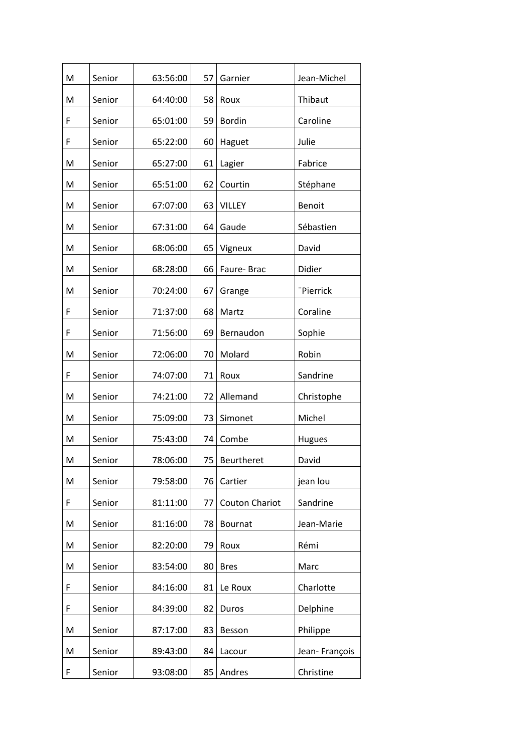| M | Senior | 63:56:00 | 57 | Garnier               | Jean-Michel   |
|---|--------|----------|----|-----------------------|---------------|
| M | Senior | 64:40:00 | 58 | Roux                  | Thibaut       |
| F | Senior | 65:01:00 | 59 | <b>Bordin</b>         | Caroline      |
| F | Senior | 65:22:00 | 60 | Haguet                | Julie         |
| M | Senior | 65:27:00 | 61 | Lagier                | Fabrice       |
| M | Senior | 65:51:00 | 62 | Courtin               | Stéphane      |
| M | Senior | 67:07:00 | 63 | <b>VILLEY</b>         | Benoit        |
| M | Senior | 67:31:00 | 64 | Gaude                 | Sébastien     |
| M | Senior | 68:06:00 | 65 | Vigneux               | David         |
| M | Senior | 68:28:00 | 66 | Faure-Brac            | Didier        |
| M | Senior | 70:24:00 | 67 | Grange                | "Pierrick     |
| F | Senior | 71:37:00 | 68 | Martz                 | Coraline      |
| F | Senior | 71:56:00 | 69 | Bernaudon             | Sophie        |
| M | Senior | 72:06:00 | 70 | Molard                | Robin         |
| F | Senior | 74:07:00 | 71 | Roux                  | Sandrine      |
| M | Senior | 74:21:00 | 72 | Allemand              | Christophe    |
| M | Senior | 75:09:00 | 73 | Simonet               | Michel        |
| M | Senior | 75:43:00 | 74 | Combe                 | <b>Hugues</b> |
| M | Senior | 78:06:00 |    | 75   Beurtheret       | David         |
| M | Senior | 79:58:00 | 76 | Cartier               | jean lou      |
| F | Senior | 81:11:00 | 77 | <b>Couton Chariot</b> | Sandrine      |
| M | Senior | 81:16:00 | 78 | <b>Bournat</b>        | Jean-Marie    |
| M | Senior | 82:20:00 | 79 | Roux                  | Rémi          |
| M | Senior | 83:54:00 | 80 | <b>Bres</b>           | Marc          |
| F | Senior | 84:16:00 | 81 | Le Roux               | Charlotte     |
| F | Senior | 84:39:00 | 82 | Duros                 | Delphine      |
| M | Senior | 87:17:00 | 83 | Besson                | Philippe      |
| M | Senior | 89:43:00 | 84 | Lacour                | Jean-François |
| F | Senior | 93:08:00 | 85 | Andres                | Christine     |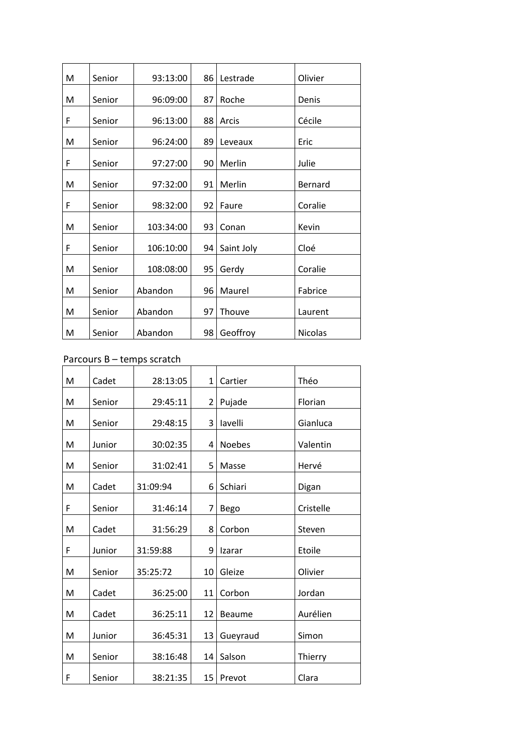| Senior | 93:13:00  | 86 | Lestrade   | Olivier        |
|--------|-----------|----|------------|----------------|
| Senior | 96:09:00  | 87 | Roche      | Denis          |
| Senior | 96:13:00  | 88 | Arcis      | Cécile         |
| Senior | 96:24:00  | 89 | Leveaux    | Eric           |
| Senior | 97:27:00  | 90 | Merlin     | Julie          |
| Senior | 97:32:00  | 91 | Merlin     | Bernard        |
| Senior | 98:32:00  | 92 | Faure      | Coralie        |
| Senior | 103:34:00 | 93 | Conan      | Kevin          |
| Senior | 106:10:00 | 94 | Saint Joly | Cloé           |
| Senior | 108:08:00 | 95 | Gerdy      | Coralie        |
| Senior | Abandon   | 96 | Maurel     | Fabrice        |
| Senior | Abandon   | 97 | Thouve     | Laurent        |
| Senior | Abandon   | 98 | Geoffroy   | <b>Nicolas</b> |
|        |           |    |            |                |

## Parcours B – temps scratch

| M | Cadet  | 28:13:05 | $\mathbf{1}$    | Cartier       | Théo      |
|---|--------|----------|-----------------|---------------|-----------|
| M | Senior | 29:45:11 | 2 <sub>1</sub>  | Pujade        | Florian   |
| M | Senior | 29:48:15 | 3               | lavelli       | Gianluca  |
| M | Junior | 30:02:35 | 4               | <b>Noebes</b> | Valentin  |
| M | Senior | 31:02:41 | 5               | Masse         | Hervé     |
| M | Cadet  | 31:09:94 | 6               | Schiari       | Digan     |
| F | Senior | 31:46:14 | 7               | <b>Bego</b>   | Cristelle |
| M | Cadet  | 31:56:29 | 8               | Corbon        | Steven    |
| F | Junior | 31:59:88 | 9               | Izarar        | Etoile    |
| M | Senior | 35:25:72 | 10              | Gleize        | Olivier   |
| M | Cadet  | 36:25:00 | 11 <sup>1</sup> | Corbon        | Jordan    |
| M | Cadet  | 36:25:11 | 12              | <b>Beaume</b> | Aurélien  |
| M | Junior | 36:45:31 | 13              | Gueyraud      | Simon     |
| M | Senior | 38:16:48 | 14              | Salson        | Thierry   |
| F | Senior | 38:21:35 | 15 <sub>1</sub> | Prevot        | Clara     |
|   |        |          |                 |               |           |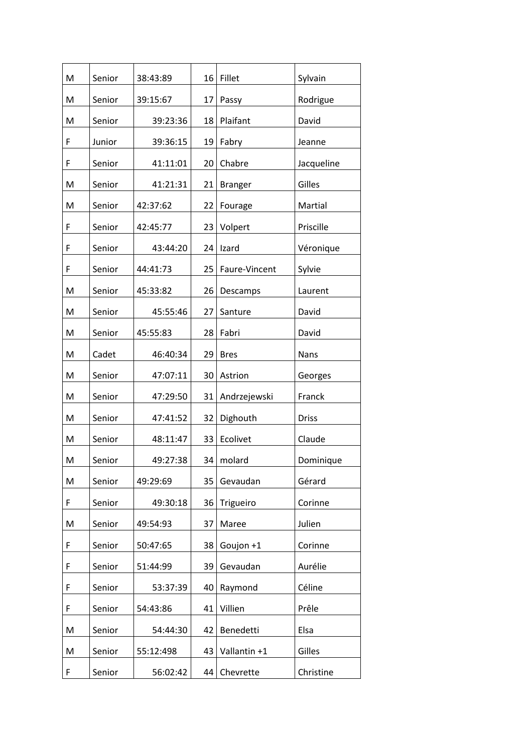| M | Senior | 38:43:89  | 16 | Fillet         | Sylvain      |
|---|--------|-----------|----|----------------|--------------|
| M | Senior | 39:15:67  | 17 | Passy          | Rodrigue     |
| M | Senior | 39:23:36  | 18 | Plaifant       | David        |
| F | Junior | 39:36:15  | 19 | Fabry          | Jeanne       |
| F | Senior | 41:11:01  | 20 | Chabre         | Jacqueline   |
| M | Senior | 41:21:31  | 21 | <b>Branger</b> | Gilles       |
| M | Senior | 42:37:62  | 22 | Fourage        | Martial      |
| F | Senior | 42:45:77  | 23 | Volpert        | Priscille    |
| F | Senior | 43:44:20  | 24 | Izard          | Véronique    |
| F | Senior | 44:41:73  | 25 | Faure-Vincent  | Sylvie       |
| M | Senior | 45:33:82  | 26 | Descamps       | Laurent      |
| M | Senior | 45:55:46  | 27 | Santure        | David        |
| M | Senior | 45:55:83  | 28 | Fabri          | David        |
| M | Cadet  | 46:40:34  | 29 | <b>Bres</b>    | Nans         |
| M | Senior | 47:07:11  | 30 | Astrion        | Georges      |
| M | Senior | 47:29:50  | 31 | Andrzejewski   | Franck       |
| M | Senior | 47:41:52  | 32 | Dighouth       | <b>Driss</b> |
| M | Senior | 48:11:47  | 33 | Ecolivet       | Claude       |
| M | Senior | 49:27:38  |    | 34   molard    | Dominique    |
| M | Senior | 49:29:69  | 35 | Gevaudan       | Gérard       |
| F | Senior | 49:30:18  | 36 | Trigueiro      | Corinne      |
| M | Senior | 49:54:93  | 37 | Maree          | Julien       |
| F | Senior | 50:47:65  | 38 | Goujon +1      | Corinne      |
| F | Senior | 51:44:99  | 39 | Gevaudan       | Aurélie      |
| F | Senior | 53:37:39  | 40 | Raymond        | Céline       |
| F | Senior | 54:43:86  | 41 | Villien        | Prêle        |
| M | Senior | 54:44:30  | 42 | Benedetti      | Elsa         |
| M | Senior | 55:12:498 | 43 | Vallantin +1   | Gilles       |
| F | Senior | 56:02:42  | 44 | Chevrette      | Christine    |